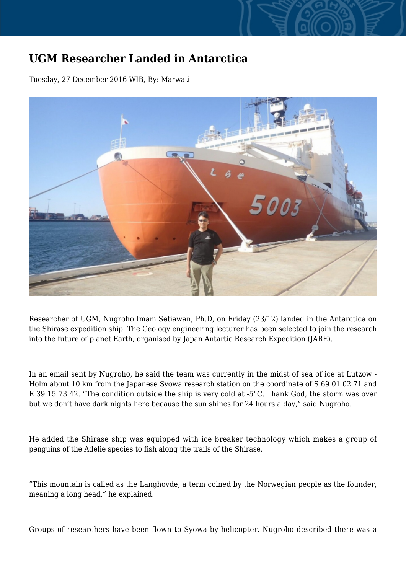## **UGM Researcher Landed in Antarctica**

Tuesday, 27 December 2016 WIB, By: Marwati



Researcher of UGM, Nugroho Imam Setiawan, Ph.D, on Friday (23/12) landed in the Antarctica on the Shirase expedition ship. The Geology engineering lecturer has been selected to join the research into the future of planet Earth, organised by Japan Antartic Research Expedition (JARE).

In an email sent by Nugroho, he said the team was currently in the midst of sea of ice at Lutzow - Holm about 10 km from the Japanese Syowa research station on the coordinate of S 69 01 02.71 and E 39 15 73.42. "The condition outside the ship is very cold at -5°C. Thank God, the storm was over but we don't have dark nights here because the sun shines for 24 hours a day," said Nugroho.

He added the Shirase ship was equipped with ice breaker technology which makes a group of penguins of the Adelie species to fish along the trails of the Shirase.

"This mountain is called as the Langhovde, a term coined by the Norwegian people as the founder, meaning a long head," he explained.

Groups of researchers have been flown to Syowa by helicopter. Nugroho described there was a